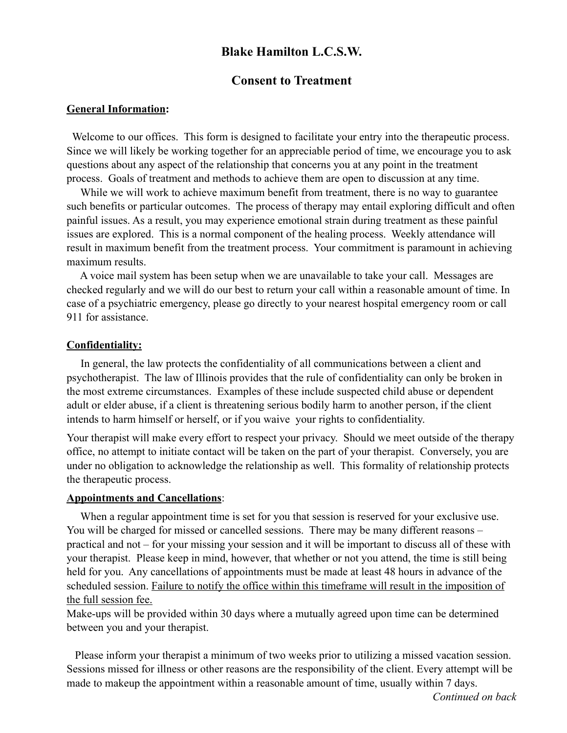# **Blake Hamilton L.C.S.W.**

## **Consent to Treatment**

#### **General Information:**

Welcome to our offices. This form is designed to facilitate your entry into the therapeutic process. Since we will likely be working together for an appreciable period of time, we encourage you to ask questions about any aspect of the relationship that concerns you at any point in the treatment process. Goals of treatment and methods to achieve them are open to discussion at any time.

 While we will work to achieve maximum benefit from treatment, there is no way to guarantee such benefits or particular outcomes. The process of therapy may entail exploring difficult and often painful issues. As a result, you may experience emotional strain during treatment as these painful issues are explored. This is a normal component of the healing process. Weekly attendance will result in maximum benefit from the treatment process. Your commitment is paramount in achieving maximum results.

 A voice mail system has been setup when we are unavailable to take your call. Messages are checked regularly and we will do our best to return your call within a reasonable amount of time. In case of a psychiatric emergency, please go directly to your nearest hospital emergency room or call 911 for assistance.

#### **Confidentiality:**

 In general, the law protects the confidentiality of all communications between a client and psychotherapist. The law of Illinois provides that the rule of confidentiality can only be broken in the most extreme circumstances. Examples of these include suspected child abuse or dependent adult or elder abuse, if a client is threatening serious bodily harm to another person, if the client intends to harm himself or herself, or if you waive your rights to confidentiality.

Your therapist will make every effort to respect your privacy. Should we meet outside of the therapy office, no attempt to initiate contact will be taken on the part of your therapist. Conversely, you are under no obligation to acknowledge the relationship as well. This formality of relationship protects the therapeutic process.

#### **Appointments and Cancellations**:

 When a regular appointment time is set for you that session is reserved for your exclusive use. You will be charged for missed or cancelled sessions. There may be many different reasons – practical and not – for your missing your session and it will be important to discuss all of these with your therapist. Please keep in mind, however, that whether or not you attend, the time is still being held for you. Any cancellations of appointments must be made at least 48 hours in advance of the scheduled session. Failure to notify the office within this timeframe will result in the imposition of the full session fee.

Make-ups will be provided within 30 days where a mutually agreed upon time can be determined between you and your therapist.

 Please inform your therapist a minimum of two weeks prior to utilizing a missed vacation session. Sessions missed for illness or other reasons are the responsibility of the client. Every attempt will be made to makeup the appointment within a reasonable amount of time, usually within 7 days.